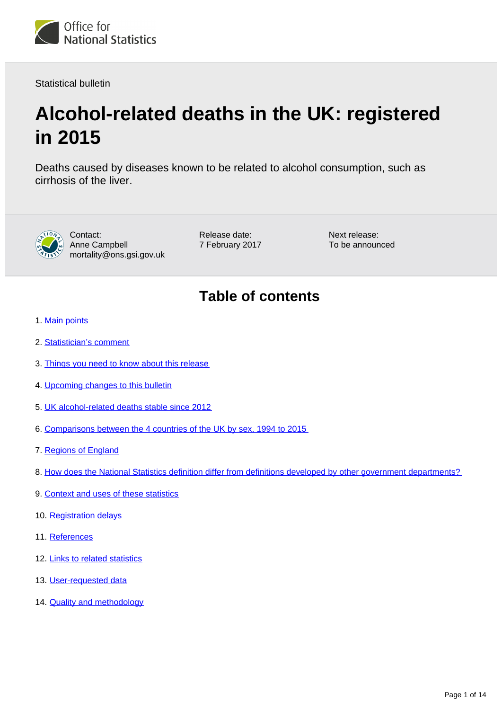

Statistical bulletin

# **Alcohol-related deaths in the UK: registered in 2015**

Deaths caused by diseases known to be related to alcohol consumption, such as cirrhosis of the liver.



Contact: Anne Campbell mortality@ons.gsi.gov.uk Release date: 7 February 2017 Next release: To be announced

## **Table of contents**

- 1. [Main points](#page-1-0)
- 2. [Statistician's comment](#page-1-1)
- 3. [Things you need to know about this release](#page-1-2)
- 4. [Upcoming changes to this bulletin](#page-2-0)
- 5. [UK alcohol-related deaths stable since 2012](#page-2-1)
- 6. [Comparisons between the 4 countries of the UK by sex, 1994 to 2015](#page-4-0)
- 7. [Regions of England](#page-6-0)
- 8. [How does the National Statistics definition differ from definitions developed by other government departments?](#page-8-0)
- 9. [Context and uses of these statistics](#page-10-0)
- 10. [Registration delays](#page-11-0)
- 11. [References](#page-11-1)
- 12. [Links to related statistics](#page-12-0)
- 13. [User-requested data](#page-12-1)
- 14. [Quality and methodology](#page-12-2)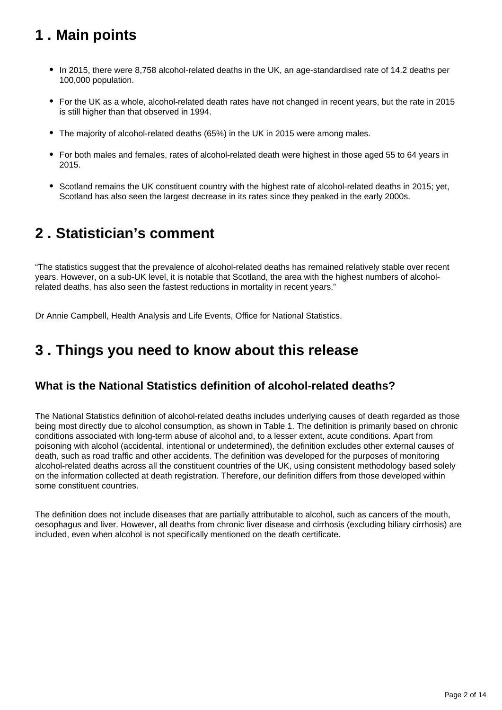## <span id="page-1-0"></span>**1 . Main points**

- In 2015, there were 8,758 alcohol-related deaths in the UK, an age-standardised rate of 14.2 deaths per 100,000 population.
- For the UK as a whole, alcohol-related death rates have not changed in recent years, but the rate in 2015 is still higher than that observed in 1994.
- The majority of alcohol-related deaths (65%) in the UK in 2015 were among males.
- For both males and females, rates of alcohol-related death were highest in those aged 55 to 64 years in 2015.
- Scotland remains the UK constituent country with the highest rate of alcohol-related deaths in 2015; yet, Scotland has also seen the largest decrease in its rates since they peaked in the early 2000s.

## <span id="page-1-1"></span>**2 . Statistician's comment**

"The statistics suggest that the prevalence of alcohol-related deaths has remained relatively stable over recent years. However, on a sub-UK level, it is notable that Scotland, the area with the highest numbers of alcoholrelated deaths, has also seen the fastest reductions in mortality in recent years."

Dr Annie Campbell, Health Analysis and Life Events, Office for National Statistics.

## <span id="page-1-2"></span>**3 . Things you need to know about this release**

### **What is the National Statistics definition of alcohol-related deaths?**

The National Statistics definition of alcohol-related deaths includes underlying causes of death regarded as those being most directly due to alcohol consumption, as shown in Table 1. The definition is primarily based on chronic conditions associated with long-term abuse of alcohol and, to a lesser extent, acute conditions. Apart from poisoning with alcohol (accidental, intentional or undetermined), the definition excludes other external causes of death, such as road traffic and other accidents. The definition was developed for the purposes of monitoring alcohol-related deaths across all the constituent countries of the UK, using consistent methodology based solely on the information collected at death registration. Therefore, our definition differs from those developed within some constituent countries.

The definition does not include diseases that are partially attributable to alcohol, such as cancers of the mouth, oesophagus and liver. However, all deaths from chronic liver disease and cirrhosis (excluding biliary cirrhosis) are included, even when alcohol is not specifically mentioned on the death certificate.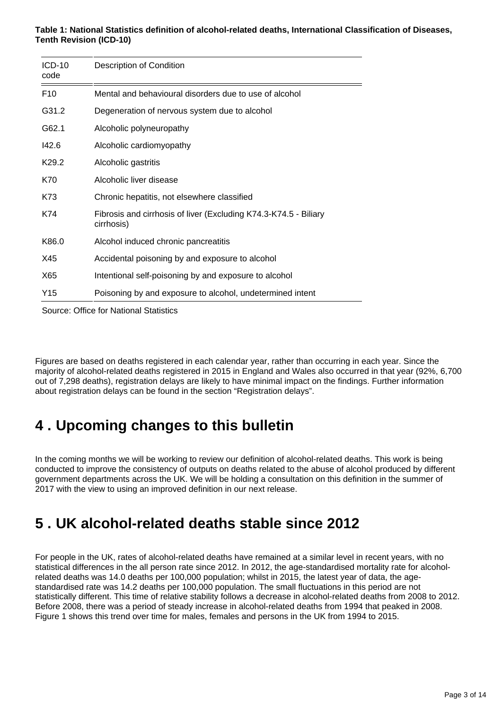#### **Table 1: National Statistics definition of alcohol-related deaths, International Classification of Diseases, Tenth Revision (ICD-10)**

| $ICD-10$<br>code  | Description of Condition                                                       |
|-------------------|--------------------------------------------------------------------------------|
| F <sub>10</sub>   | Mental and behavioural disorders due to use of alcohol                         |
| G31.2             | Degeneration of nervous system due to alcohol                                  |
| G62.1             | Alcoholic polyneuropathy                                                       |
| 142.6             | Alcoholic cardiomyopathy                                                       |
| K <sub>29.2</sub> | Alcoholic gastritis                                                            |
| K70               | Alcoholic liver disease                                                        |
| K73               | Chronic hepatitis, not elsewhere classified                                    |
| K74               | Fibrosis and cirrhosis of liver (Excluding K74.3-K74.5 - Biliary<br>cirrhosis) |
| K86.0             | Alcohol induced chronic pancreatitis                                           |
| X45               | Accidental poisoning by and exposure to alcohol                                |
| X65               | Intentional self-poisoning by and exposure to alcohol                          |
| Y15               | Poisoning by and exposure to alcohol, undetermined intent                      |
|                   |                                                                                |

Source: Office for National Statistics

Figures are based on deaths registered in each calendar year, rather than occurring in each year. Since the majority of alcohol-related deaths registered in 2015 in England and Wales also occurred in that year (92%, 6,700 out of 7,298 deaths), registration delays are likely to have minimal impact on the findings. Further information about registration delays can be found in the section "Registration delays".

## <span id="page-2-0"></span>**4 . Upcoming changes to this bulletin**

In the coming months we will be working to review our definition of alcohol-related deaths. This work is being conducted to improve the consistency of outputs on deaths related to the abuse of alcohol produced by different government departments across the UK. We will be holding a consultation on this definition in the summer of 2017 with the view to using an improved definition in our next release.

## <span id="page-2-1"></span>**5 . UK alcohol-related deaths stable since 2012**

For people in the UK, rates of alcohol-related deaths have remained at a similar level in recent years, with no statistical differences in the all person rate since 2012. In 2012, the age-standardised mortality rate for alcoholrelated deaths was 14.0 deaths per 100,000 population; whilst in 2015, the latest year of data, the agestandardised rate was 14.2 deaths per 100,000 population. The small fluctuations in this period are not statistically different. This time of relative stability follows a decrease in alcohol-related deaths from 2008 to 2012. Before 2008, there was a period of steady increase in alcohol-related deaths from 1994 that peaked in 2008. Figure 1 shows this trend over time for males, females and persons in the UK from 1994 to 2015.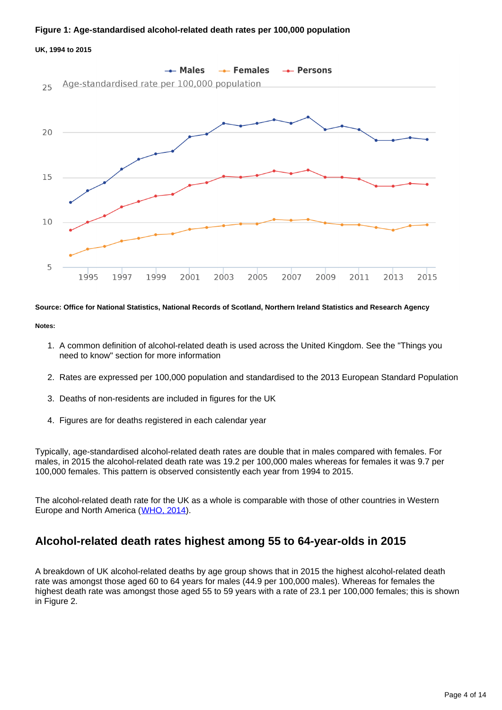#### **Figure 1: Age-standardised alcohol-related death rates per 100,000 population**

#### **UK, 1994 to 2015**



#### **Source: Office for National Statistics, National Records of Scotland, Northern Ireland Statistics and Research Agency**

#### **Notes:**

- 1. A common definition of alcohol-related death is used across the United Kingdom. See the "Things you need to know" section for more information
- 2. Rates are expressed per 100,000 population and standardised to the 2013 European Standard Population
- 3. Deaths of non-residents are included in figures for the UK
- 4. Figures are for deaths registered in each calendar year

Typically, age-standardised alcohol-related death rates are double that in males compared with females. For males, in 2015 the alcohol-related death rate was 19.2 per 100,000 males whereas for females it was 9.7 per 100,000 females. This pattern is observed consistently each year from 1994 to 2015.

The alcohol-related death rate for the UK as a whole is comparable with those of other countries in Western Europe and North America ([WHO, 2014\)](http://gamapserver.who.int/gho/interactive_charts/gisah/death_rates_cirrhosis/atlas.html).

### **Alcohol-related death rates highest among 55 to 64-year-olds in 2015**

A breakdown of UK alcohol-related deaths by age group shows that in 2015 the highest alcohol-related death rate was amongst those aged 60 to 64 years for males (44.9 per 100,000 males). Whereas for females the highest death rate was amongst those aged 55 to 59 years with a rate of 23.1 per 100,000 females; this is shown in Figure 2.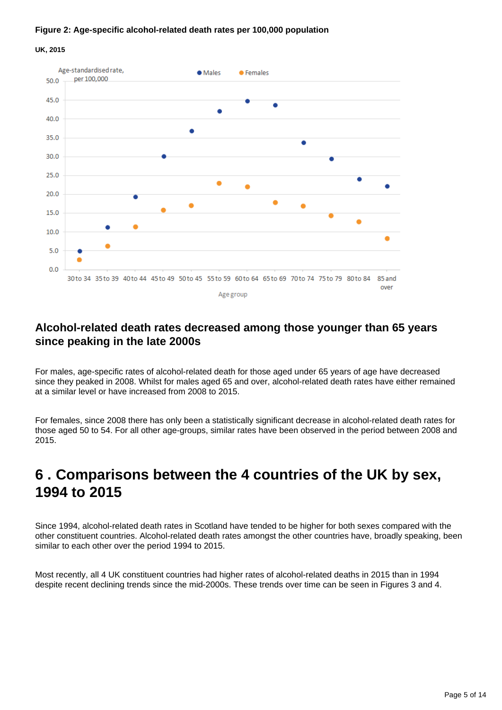#### **Figure 2: Age-specific alcohol-related death rates per 100,000 population**

**UK, 2015**



### **Alcohol-related death rates decreased among those younger than 65 years since peaking in the late 2000s**

For males, age-specific rates of alcohol-related death for those aged under 65 years of age have decreased since they peaked in 2008. Whilst for males aged 65 and over, alcohol-related death rates have either remained at a similar level or have increased from 2008 to 2015.

For females, since 2008 there has only been a statistically significant decrease in alcohol-related death rates for those aged 50 to 54. For all other age-groups, similar rates have been observed in the period between 2008 and 2015.

### <span id="page-4-0"></span>**6 . Comparisons between the 4 countries of the UK by sex, 1994 to 2015**

Since 1994, alcohol-related death rates in Scotland have tended to be higher for both sexes compared with the other constituent countries. Alcohol-related death rates amongst the other countries have, broadly speaking, been similar to each other over the period 1994 to 2015.

Most recently, all 4 UK constituent countries had higher rates of alcohol-related deaths in 2015 than in 1994 despite recent declining trends since the mid-2000s. These trends over time can be seen in Figures 3 and 4.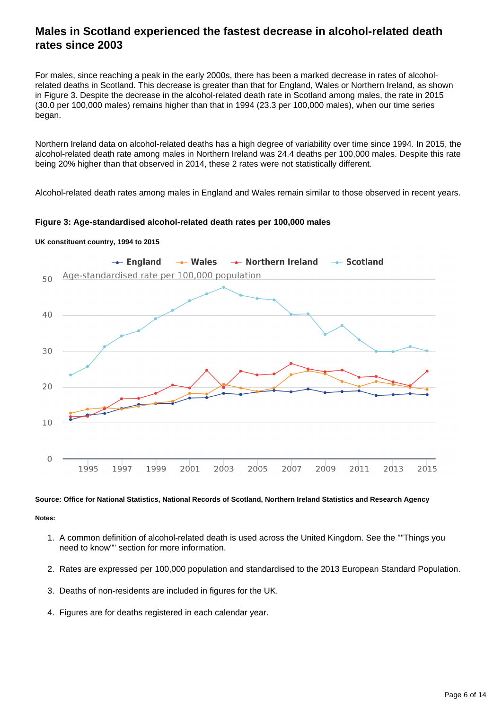### **Males in Scotland experienced the fastest decrease in alcohol-related death rates since 2003**

For males, since reaching a peak in the early 2000s, there has been a marked decrease in rates of alcoholrelated deaths in Scotland. This decrease is greater than that for England, Wales or Northern Ireland, as shown in Figure 3. Despite the decrease in the alcohol-related death rate in Scotland among males, the rate in 2015 (30.0 per 100,000 males) remains higher than that in 1994 (23.3 per 100,000 males), when our time series began.

Northern Ireland data on alcohol-related deaths has a high degree of variability over time since 1994. In 2015, the alcohol-related death rate among males in Northern Ireland was 24.4 deaths per 100,000 males. Despite this rate being 20% higher than that observed in 2014, these 2 rates were not statistically different.

Alcohol-related death rates among males in England and Wales remain similar to those observed in recent years.

**Figure 3: Age-standardised alcohol-related death rates per 100,000 males**



#### **UK constituent country, 1994 to 2015**

#### **Source: Office for National Statistics, National Records of Scotland, Northern Ireland Statistics and Research Agency**

#### **Notes:**

- 1. A common definition of alcohol-related death is used across the United Kingdom. See the ""Things you need to know"" section for more information.
- 2. Rates are expressed per 100,000 population and standardised to the 2013 European Standard Population.
- 3. Deaths of non-residents are included in figures for the UK.
- 4. Figures are for deaths registered in each calendar year.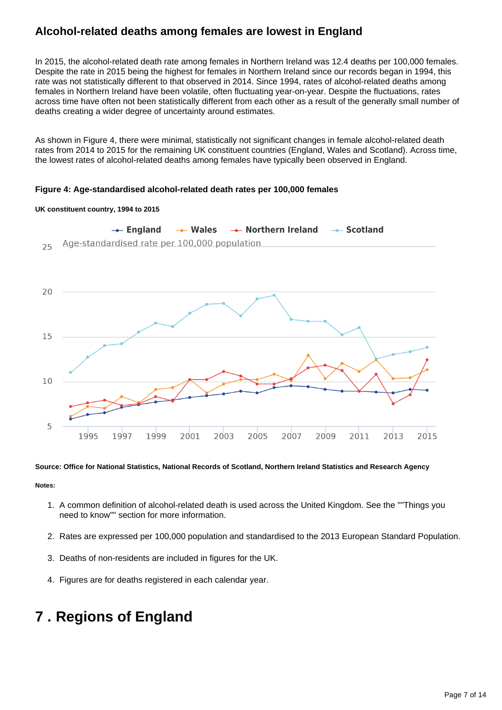### **Alcohol-related deaths among females are lowest in England**

In 2015, the alcohol-related death rate among females in Northern Ireland was 12.4 deaths per 100,000 females. Despite the rate in 2015 being the highest for females in Northern Ireland since our records began in 1994, this rate was not statistically different to that observed in 2014. Since 1994, rates of alcohol-related deaths among females in Northern Ireland have been volatile, often fluctuating year-on-year. Despite the fluctuations, rates across time have often not been statistically different from each other as a result of the generally small number of deaths creating a wider degree of uncertainty around estimates.

As shown in Figure 4, there were minimal, statistically not significant changes in female alcohol-related death rates from 2014 to 2015 for the remaining UK constituent countries (England, Wales and Scotland). Across time, the lowest rates of alcohol-related deaths among females have typically been observed in England.

#### **Figure 4: Age-standardised alcohol-related death rates per 100,000 females**





#### **Source: Office for National Statistics, National Records of Scotland, Northern Ireland Statistics and Research Agency**

**Notes:**

- 1. A common definition of alcohol-related death is used across the United Kingdom. See the ""Things you need to know"" section for more information.
- 2. Rates are expressed per 100,000 population and standardised to the 2013 European Standard Population.
- 3. Deaths of non-residents are included in figures for the UK.
- 4. Figures are for deaths registered in each calendar year.

## <span id="page-6-0"></span>**7 . Regions of England**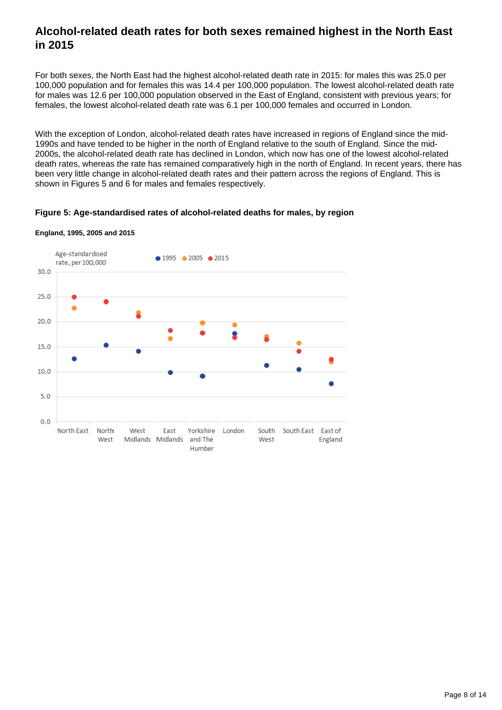### **Alcohol-related death rates for both sexes remained highest in the North East in 2015**

For both sexes, the North East had the highest alcohol-related death rate in 2015: for males this was 25.0 per 100,000 population and for females this was 14.4 per 100,000 population. The lowest alcohol-related death rate for males was 12.6 per 100,000 population observed in the East of England, consistent with previous years; for females, the lowest alcohol-related death rate was 6.1 per 100,000 females and occurred in London.

With the exception of London, alcohol-related death rates have increased in regions of England since the mid-1990s and have tended to be higher in the north of England relative to the south of England. Since the mid-2000s, the alcohol-related death rate has declined in London, which now has one of the lowest alcohol-related death rates, whereas the rate has remained comparatively high in the north of England. In recent years, there has been very little change in alcohol-related death rates and their pattern across the regions of England. This is shown in Figures 5 and 6 for males and females respectively.

#### **Figure 5: Age-standardised rates of alcohol-related deaths for males, by region**



#### **England, 1995, 2005 and 2015**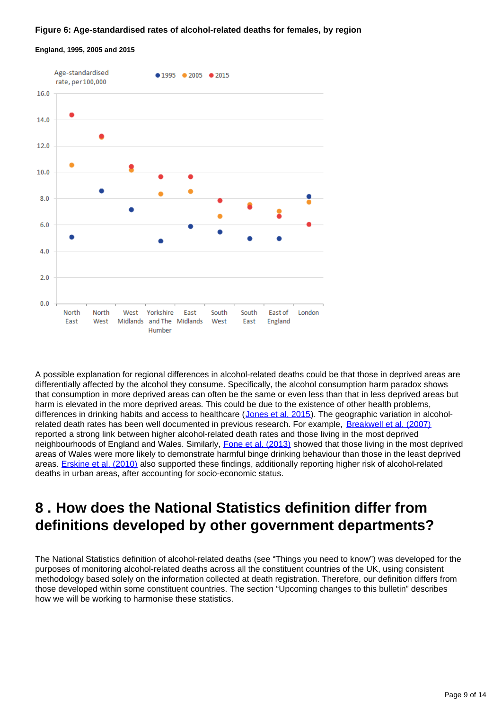#### **Figure 6: Age-standardised rates of alcohol-related deaths for females, by region**



#### **England, 1995, 2005 and 2015**

A possible explanation for regional differences in alcohol-related deaths could be that those in deprived areas are differentially affected by the alcohol they consume. Specifically, the alcohol consumption harm paradox shows that consumption in more deprived areas can often be the same or even less than that in less deprived areas but harm is elevated in the more deprived areas. This could be due to the existence of other health problems, differences in drinking habits and access to healthcare ([Jones et al, 2015\)](http://bmcpublichealth.biomedcentral.com/articles/10.1186/s12889-015-1720-7). The geographic variation in alcoholrelated death rates has been well documented in previous research. For example, [Breakwell et al. \(2007\)](http://www.ons.gov.uk/ons/rel/hsq/health-statistics-quarterly/no--33--spring-2007/health-statistics-quarterly.pdf) reported a strong link between higher alcohol-related death rates and those living in the most deprived neighbourhoods of England and Wales. Similarly, [Fone et al. \(2013\)](http://bmjopen.bmj.com/content/3/4/e002337.full) showed that those living in the most deprived areas of Wales were more likely to demonstrate harmful binge drinking behaviour than those in the least deprived areas. **[Erskine et al. \(2010\)](http://www.sciencedaily.com/releases/2010/05/100527101100.htm)** also supported these findings, additionally reporting higher risk of alcohol-related deaths in urban areas, after accounting for socio-economic status.

### <span id="page-8-0"></span>**8 . How does the National Statistics definition differ from definitions developed by other government departments?**

The National Statistics definition of alcohol-related deaths (see "Things you need to know") was developed for the purposes of monitoring alcohol-related deaths across all the constituent countries of the UK, using consistent methodology based solely on the information collected at death registration. Therefore, our definition differs from those developed within some constituent countries. The section "Upcoming changes to this bulletin" describes how we will be working to harmonise these statistics.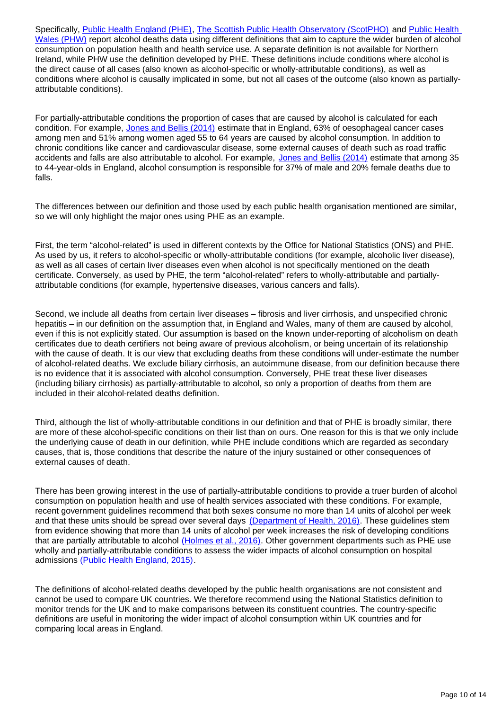Specifically, [Public Health England \(PHE\)](http://fingertips.phe.org.uk/profile/local-alcohol-profiles), [The Scottish Public Health Observatory \(ScotPHO\)](http://www.scotpho.org.uk/behaviour/alcohol/data/health-harm) and Public Health [Wales \(PHW\)](http://www.wales.nhs.uk/sitesplus/888/home) report alcohol deaths data using different definitions that aim to capture the wider burden of alcohol consumption on population health and health service use. A separate definition is not available for Northern Ireland, while PHW use the definition developed by PHE. These definitions include conditions where alcohol is the direct cause of all cases (also known as alcohol-specific or wholly-attributable conditions), as well as conditions where alcohol is causally implicated in some, but not all cases of the outcome (also known as partiallyattributable conditions).

For partially-attributable conditions the proportion of cases that are caused by alcohol is calculated for each condition. For example, [Jones and Bellis \(2014\)](http://www.cph.org.uk/publication/updating-england-specific-alcohol-attributable-fractions/) estimate that in England, 63% of oesophageal cancer cases among men and 51% among women aged 55 to 64 years are caused by alcohol consumption. In addition to chronic conditions like cancer and cardiovascular disease, some external causes of death such as road traffic accidents and falls are also attributable to alcohol. For example, [Jones and Bellis \(2014\)](http://www.cph.org.uk/publication/updating-england-specific-alcohol-attributable-fractions/) estimate that among 35 to 44-year-olds in England, alcohol consumption is responsible for 37% of male and 20% female deaths due to falls.

The differences between our definition and those used by each public health organisation mentioned are similar, so we will only highlight the major ones using PHE as an example.

First, the term "alcohol-related" is used in different contexts by the Office for National Statistics (ONS) and PHE. As used by us, it refers to alcohol-specific or wholly-attributable conditions (for example, alcoholic liver disease), as well as all cases of certain liver diseases even when alcohol is not specifically mentioned on the death certificate. Conversely, as used by PHE, the term "alcohol-related" refers to wholly-attributable and partiallyattributable conditions (for example, hypertensive diseases, various cancers and falls).

Second, we include all deaths from certain liver diseases – fibrosis and liver cirrhosis, and unspecified chronic hepatitis – in our definition on the assumption that, in England and Wales, many of them are caused by alcohol, even if this is not explicitly stated. Our assumption is based on the known under-reporting of alcoholism on death certificates due to death certifiers not being aware of previous alcoholism, or being uncertain of its relationship with the cause of death. It is our view that excluding deaths from these conditions will under-estimate the number of alcohol-related deaths. We exclude biliary cirrhosis, an autoimmune disease, from our definition because there is no evidence that it is associated with alcohol consumption. Conversely, PHE treat these liver diseases (including biliary cirrhosis) as partially-attributable to alcohol, so only a proportion of deaths from them are included in their alcohol-related deaths definition.

Third, although the list of wholly-attributable conditions in our definition and that of PHE is broadly similar, there are more of these alcohol-specific conditions on their list than on ours. One reason for this is that we only include the underlying cause of death in our definition, while PHE include conditions which are regarded as secondary causes, that is, those conditions that describe the nature of the injury sustained or other consequences of external causes of death.

There has been growing interest in the use of partially-attributable conditions to provide a truer burden of alcohol consumption on population health and use of health services associated with these conditions. For example, recent government guidelines recommend that both sexes consume no more than 14 units of alcohol per week and that these units should be spread over several days [\(Department of Health, 2016\).](https://www.gov.uk/government/consultations/health-risks-from-alcohol-new-guidelines) These guidelines stem from evidence showing that more than 14 units of alcohol per week increases the risk of developing conditions that are partially attributable to alcohol [\(Holmes et al., 2016\)](http://www.shef.ac.uk/polopoly_fs/1.538671!/file/Drinking_Guidelines_Final_Report_Published.pdf). Other government departments such as PHE use wholly and partially-attributable conditions to assess the wider impacts of alcohol consumption on hospital admissions [\(Public Health England, 2015\).](http://www.lape.org.uk/index.html)

The definitions of alcohol-related deaths developed by the public health organisations are not consistent and cannot be used to compare UK countries. We therefore recommend using the National Statistics definition to monitor trends for the UK and to make comparisons between its constituent countries. The country-specific definitions are useful in monitoring the wider impact of alcohol consumption within UK countries and for comparing local areas in England.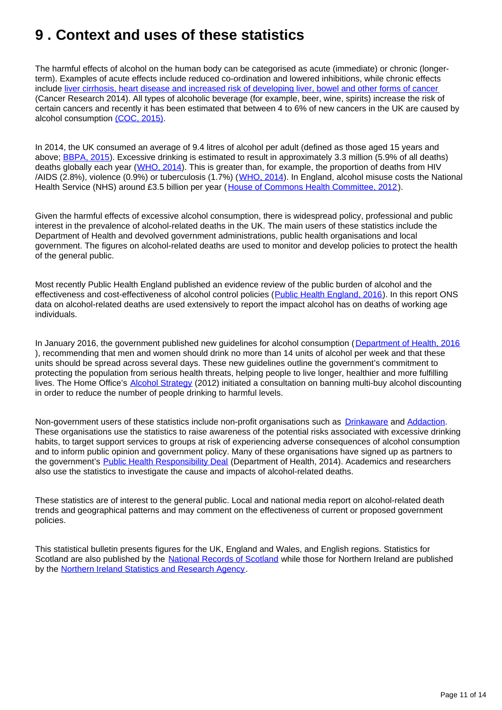## <span id="page-10-0"></span>**9 . Context and uses of these statistics**

The harmful effects of alcohol on the human body can be categorised as acute (immediate) or chronic (longerterm). Examples of acute effects include reduced co-ordination and lowered inhibitions, while chronic effects include [liver cirrhosis, heart disease and increased risk of developing liver, bowel and other forms of cancer](http://www.cancerresearchuk.org/cancer-info/healthyliving/alcohol/alcohol-and-cancer) (Cancer Research 2014). All types of alcoholic beverage (for example, beer, wine, spirits) increase the risk of certain cancers and recently it has been estimated that between 4 to 6% of new cancers in the UK are caused by alcohol consumption [\(COC, 2015\).](https://www.gov.uk/government/publications/consumption-of-alcoholic-beverages-and-risk-of-cancer)

In 2014, the UK consumed an average of 9.4 litres of alcohol per adult (defined as those aged 15 years and above; **[BBPA, 2015](http://www.beerandpub.com/industry-briefings/alcohol-consumption-data)**). Excessive drinking is estimated to result in approximately 3.3 million (5.9% of all deaths) deaths globally each year ([WHO, 2014\)](http://www.who.int/substance_abuse/publications/global_alcohol_report/msb_gsr_2014_1.pdf?ua=1). This is greater than, for example, the proportion of deaths from HIV /AIDS (2.8%), violence (0.9%) or tuberculosis (1.7%) ([WHO, 2014](http://www.who.int/substance_abuse/publications/global_alcohol_report/msb_gsr_2014_1.pdf?ua=1)). In England, alcohol misuse costs the National Health Service (NHS) around £3.5 billion per year ([House of Commons Health Committee, 2012](http://www.publications.parliament.uk/pa/cm201213/cmselect/cmhealth/132/132.pdf)).

Given the harmful effects of excessive alcohol consumption, there is widespread policy, professional and public interest in the prevalence of alcohol-related deaths in the UK. The main users of these statistics include the Department of Health and devolved government administrations, public health organisations and local government. The figures on alcohol-related deaths are used to monitor and develop policies to protect the health of the general public.

Most recently Public Health England published an evidence review of the public burden of alcohol and the effectiveness and cost-effectiveness of alcohol control policies ([Public Health England, 2016\)](https://www.gov.uk/government/uploads/system/uploads/attachment_data/file/583047/alcohol_public_health_burden_evidence_review.pdf). In this report ONS data on alcohol-related deaths are used extensively to report the impact alcohol has on deaths of working age individuals.

In January 2016, the government published new guidelines for alcohol consumption ([Department of Health, 2016](https://www.gov.uk/government/consultations/health-risks-from-alcohol-new-guidelines)) ), recommending that men and women should drink no more than 14 units of alcohol per week and that these units should be spread across several days. These new guidelines outline the government's commitment to protecting the population from serious health threats, helping people to live longer, healthier and more fulfilling lives. The Home Office's [Alcohol Strategy](https://www.gov.uk/government/publications/alcohol-strategy) (2012) initiated a consultation on banning multi-buy alcohol discounting in order to reduce the number of people drinking to harmful levels.

Non-government users of these statistics include non-profit organisations such as [Drinkaware](https://www.drinkaware.co.uk/) and [Addaction](http://www.addaction.org.uk/). These organisations use the statistics to raise awareness of the potential risks associated with excessive drinking habits, to target support services to groups at risk of experiencing adverse consequences of alcohol consumption and to inform public opinion and government policy. Many of these organisations have signed up as partners to the government's [Public Health Responsibility Deal](https://responsibilitydeal.dh.gov.uk/partners/) (Department of Health, 2014). Academics and researchers also use the statistics to investigate the cause and impacts of alcohol-related deaths.

These statistics are of interest to the general public. Local and national media report on alcohol-related death trends and geographical patterns and may comment on the effectiveness of current or proposed government policies.

This statistical bulletin presents figures for the UK, England and Wales, and English regions. Statistics for Scotland are also published by the [National Records of Scotland](http://www.nrscotland.gov.uk/) while those for Northern Ireland are published by the [Northern Ireland Statistics and Research Agency](http://www.nisra.gov.uk/).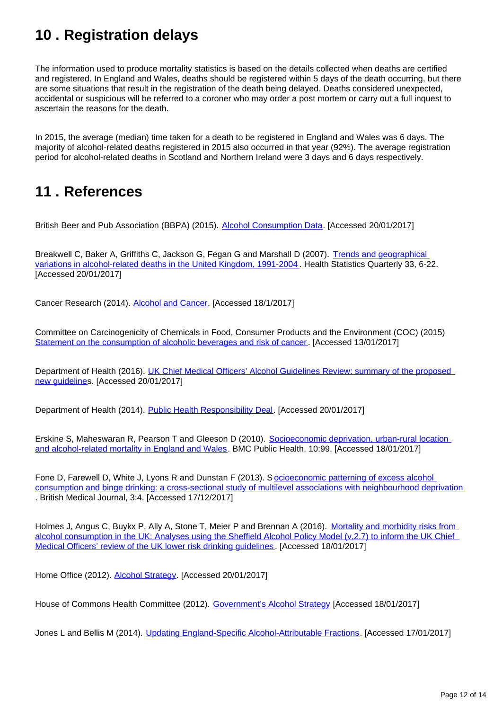## <span id="page-11-0"></span>**10 . Registration delays**

The information used to produce mortality statistics is based on the details collected when deaths are certified and registered. In England and Wales, deaths should be registered within 5 days of the death occurring, but there are some situations that result in the registration of the death being delayed. Deaths considered unexpected, accidental or suspicious will be referred to a coroner who may order a post mortem or carry out a full inquest to ascertain the reasons for the death.

In 2015, the average (median) time taken for a death to be registered in England and Wales was 6 days. The majority of alcohol-related deaths registered in 2015 also occurred in that year (92%). The average registration period for alcohol-related deaths in Scotland and Northern Ireland were 3 days and 6 days respectively.

### <span id="page-11-1"></span>**11 . References**

British Beer and Pub Association (BBPA) (2015). [Alcohol Consumption Data](http://www.beerandpub.com/industry-briefings/alcohol-consumption-data). [Accessed 20/01/2017]

Breakwell C, Baker A, Griffiths C, Jackson G, Fegan G and Marshall D (2007). [Trends and geographical](http://www.ons.gov.uk/ons/rel/hsq/health-statistics-quarterly/no--33--spring-2007/health-statistics-quarterly.pdf)  [variations in alcohol-related deaths in the United Kingdom, 1991-2004](http://www.ons.gov.uk/ons/rel/hsq/health-statistics-quarterly/no--33--spring-2007/health-statistics-quarterly.pdf) . Health Statistics Quarterly 33, 6-22. [Accessed 20/01/2017]

Cancer Research (2014). [Alcohol and Cancer](http://www.cancerresearchuk.org/cancer-info/healthyliving/alcohol/alcohol-and-cancer). [Accessed 18/1/2017]

Committee on Carcinogenicity of Chemicals in Food, Consumer Products and the Environment (COC) (2015) [Statement on the consumption of alcoholic beverages and risk of cancer](https://www.gov.uk/government/publications/consumption-of-alcoholic-beverages-and-risk-of-cancer). [Accessed 13/01/2017]

Department of Health (2016). UK Chief Medical Officers' Alcohol Guidelines Review: summary of the proposed [new guidelines](https://www.gov.uk/government/consultations/health-risks-from-alcohol-new-guidelines). [Accessed 20/01/2017]

Department of Health (2014). [Public Health Responsibility Deal](https://responsibilitydeal.dh.gov.uk/partners/). [Accessed 20/01/2017]

Erskine S, Maheswaran R, Pearson T and Gleeson D (2010). [Socioeconomic deprivation, urban-rural location](http://www.sciencedaily.com/releases/2010/05/100527101100.htm)  [and alcohol-related mortality in England and Wales](http://www.sciencedaily.com/releases/2010/05/100527101100.htm). BMC Public Health, 10:99. [Accessed 18/01/2017]

Fone D, Farewell D, White J, Lyons R and Dunstan F (2013). S[ocioeconomic patterning of excess alcohol](http://bmjopen.bmj.com/content/3/4/e002337.full)  [consumption and binge drinking: a cross-sectional study of multilevel associations with neighbourhood deprivation](http://bmjopen.bmj.com/content/3/4/e002337.full) . British Medical Journal, 3:4. [Accessed 17/12/2017]

Holmes J, Angus C, Buykx P, Ally A, Stone T, Meier P and Brennan A (2016). Mortality and morbidity risks from alcohol consumption in the UK: Analyses using the Sheffield Alcohol Policy Model (v,2.7) to inform the UK Chief [Medical Officers' review of the UK lower risk drinking guidelines](http://www.shef.ac.uk/polopoly_fs/1.538671!/file/Drinking_Guidelines_Final_Report_Published.pdf) . [Accessed 18/01/2017]

Home Office (2012). [Alcohol Strategy](https://www.gov.uk/government/publications/alcohol-strategy). [Accessed 20/01/2017]

House of Commons Health Committee (2012). [Government's Alcohol Strategy](http://www.publications.parliament.uk/pa/cm201213/cmselect/cmhealth/132/132.pdf) [Accessed 18/01/2017]

Jones L and Bellis M (2014). [Updating England-Specific Alcohol-Attributable Fractions.](http://www.cph.org.uk/publication/updating-england-specific-alcohol-attributable-fractions/) [Accessed 17/01/2017]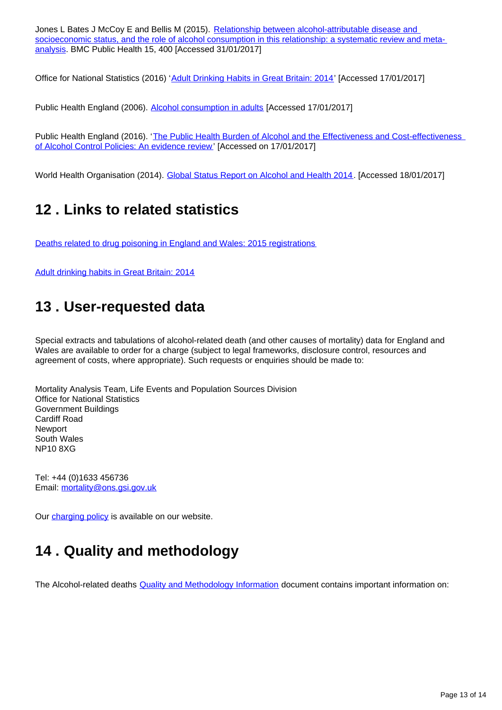Jones L Bates J McCoy E and Bellis M (2015). Relationship between alcohol-attributable disease and [socioeconomic status, and the role of alcohol consumption in this relationship: a systematic review and meta](http://bmcpublichealth.biomedcentral.com/articles/10.1186/s12889-015-1720-7)[analysis](http://bmcpublichealth.biomedcentral.com/articles/10.1186/s12889-015-1720-7). BMC Public Health 15, 400 [Accessed 31/01/2017]

Office for National Statistics (2016) '[Adult Drinking Habits in Great Britain: 2014](https://www.ons.gov.uk/peoplepopulationandcommunity/healthandsocialcare/drugusealcoholandsmoking/bulletins/opinionsandlifestylesurveyadultdrinkinghabitsingreatbritain/2014)' [Accessed 17/01/2017]

Public Health England (2006). [Alcohol consumption in adults](http://www.apho.org.uk/resource/item.aspx?RID=25182) [Accessed 17/01/2017]

Public Health England (2016). 'The Public Health Burden of Alcohol and the Effectiveness and Cost-effectiveness [of Alcohol Control Policies: An evidence review'](https://www.gov.uk/government/uploads/system/uploads/attachment_data/file/583047/alcohol_public_health_burden_evidence_review.pdf) [Accessed on 17/01/2017]

World Health Organisation (2014). [Global Status Report on Alcohol and Health 2014](http://www.who.int/substance_abuse/publications/global_alcohol_report/msb_gsr_2014_1.pdf?ua=1). [Accessed 18/01/2017]

### <span id="page-12-0"></span>**12 . Links to related statistics**

[Deaths related to drug poisoning in England and Wales: 2015 registrations](https://www.ons.gov.uk/peoplepopulationandcommunity/birthsdeathsandmarriages/deaths/bulletins/deathsrelatedtodrugpoisoninginenglandandwales/2015registrations)

[Adult drinking habits in Great Britain: 2014](https://www.ons.gov.uk/peoplepopulationandcommunity/healthandsocialcare/drugusealcoholandsmoking/bulletins/opinionsandlifestylesurveyadultdrinkinghabitsingreatbritain/2014)

### <span id="page-12-1"></span>**13 . User-requested data**

Special extracts and tabulations of alcohol-related death (and other causes of mortality) data for England and Wales are available to order for a charge (subject to legal frameworks, disclosure control, resources and agreement of costs, where appropriate). Such requests or enquiries should be made to:

Mortality Analysis Team, Life Events and Population Sources Division Office for National Statistics Government Buildings Cardiff Road Newport South Wales NP10 8XG

Tel: +44 (0)1633 456736 Email: mortality@ons.gsi.gov.uk

Our [charging policy](https://www.ons.gov.uk/aboutus/whatwedo/statistics/publicationscheme) is available on our website.

### <span id="page-12-2"></span>**14 . Quality and methodology**

The Alcohol-related deaths **Quality and Methodology Information** document contains important information on: